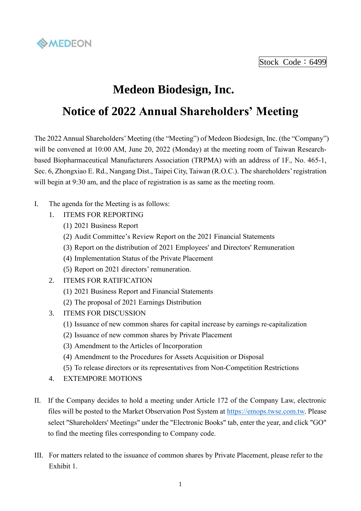

Stock Code: 6499

# **Medeon Biodesign, Inc. Notice of 2022 Annual Shareholders' Meeting**

## The 2022 Annual Shareholders' Meeting (the "Meeting") of Medeon Biodesign, Inc. (the "Company") will be convened at 10:00 AM, June 20, 2022 (Monday) at the meeting room of Taiwan Researchbased Biopharmaceutical Manufacturers Association (TRPMA) with an address of 1F., No. 465-1, Sec. 6, Zhongxiao E. Rd., Nangang Dist., Taipei City, Taiwan (R.O.C.). The shareholders' registration

- I. The agenda for the Meeting is as follows:
	- 1. ITEMS FOR REPORTING
		- (1) 2021 Business Report
		- (2) Audit Committee's Review Report on the 2021 Financial Statements

will begin at 9:30 am, and the place of registration is as same as the meeting room.

- (3) Report on the distribution of 2021 Employees' and Directors' Remuneration
- (4) Implementation Status of the Private Placement
- (5) Report on 2021 directors' remuneration.
- 2. ITEMS FOR RATIFICATION
	- (1) 2021 Business Report and Financial Statements
	- (2) The proposal of 2021 Earnings Distribution
- 3. ITEMS FOR DISCUSSION
	- (1) Issuance of new common shares for capital increase by earnings re-capitalization
	- (2) Issuance of new common shares by Private Placement
	- (3) Amendment to the Articles of Incorporation
	- (4) Amendment to the Procedures for Assets Acquisition or Disposal
	- (5) To release directors or its representatives from Non-Competition Restrictions
- 4. EXTEMPORE MOTIONS
- II. If the Company decides to hold a meeting under Article 172 of the Company Law, electronic files will be posted to the Market Observation Post System at [https://emops.twse.com.tw.](https://emops.twse.com.tw/) Please select "Shareholders' Meetings" under the "Electronic Books" tab, enter the year, and click "GO" to find the meeting files corresponding to Company code.
- III. For matters related to the issuance of common shares by Private Placement, please refer to the Exhibit 1.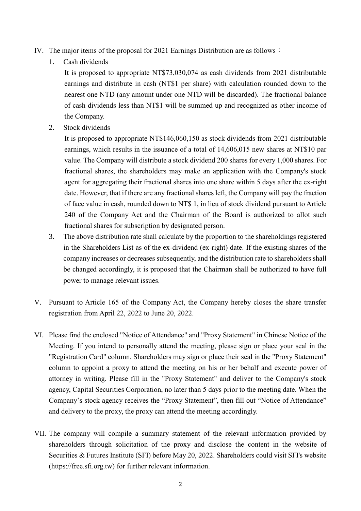- IV. The major items of the proposal for 2021 Earnings Distribution are as follows:
	- 1. Cash dividends

It is proposed to appropriate NT\$73,030,074 as cash dividends from 2021 distributable earnings and distribute in cash (NT\$1 per share) with calculation rounded down to the nearest one NTD (any amount under one NTD will be discarded). The fractional balance of cash dividends less than NT\$1 will be summed up and recognized as other income of the Company.

2. Stock dividends

It is proposed to appropriate NT\$146,060,150 as stock dividends from 2021 distributable earnings, which results in the issuance of a total of 14,606,015 new shares at NT\$10 par value. The Company will distribute a stock dividend 200 shares for every 1,000 shares. For fractional shares, the shareholders may make an application with the Company's stock agent for aggregating their fractional shares into one share within 5 days after the ex-right date. However, that if there are any fractional shares left, the Company will pay the fraction of face value in cash, rounded down to NT\$ 1, in lieu of stock dividend pursuant to Article 240 of the Company Act and the Chairman of the Board is authorized to allot such fractional shares for subscription by designated person.

- 3. The above distribution rate shall calculate by the proportion to the shareholdings registered in the Shareholders List as of the ex-dividend (ex-right) date. If the existing shares of the company increases or decreases subsequently, and the distribution rate to shareholders shall be changed accordingly, it is proposed that the Chairman shall be authorized to have full power to manage relevant issues.
- V. Pursuant to Article 165 of the Company Act, the Company hereby closes the share transfer registration from April 22, 2022 to June 20, 2022.
- VI. Please find the enclosed "Notice of Attendance" and "Proxy Statement" in Chinese Notice of the Meeting. If you intend to personally attend the meeting, please sign or place your seal in the "Registration Card" column. Shareholders may sign or place their seal in the "Proxy Statement" column to appoint a proxy to attend the meeting on his or her behalf and execute power of attorney in writing. Please fill in the "Proxy Statement" and deliver to the Company's stock agency, Capital Securities Corporation, no later than 5 days prior to the meeting date. When the Company's stock agency receives the "Proxy Statement", then fill out "Notice of Attendance" and delivery to the proxy, the proxy can attend the meeting accordingly.
- VII. The company will compile a summary statement of the relevant information provided by shareholders through solicitation of the proxy and disclose the content in the website of Securities & Futures Institute (SFI) before May 20, 2022. Shareholders could visit SFI's website (https://free.sfi.org.tw) for further relevant information.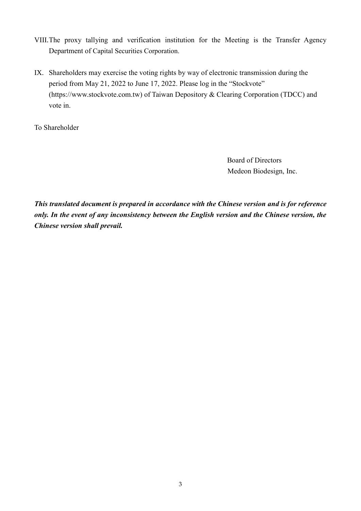- VIII.The proxy tallying and verification institution for the Meeting is the Transfer Agency Department of Capital Securities Corporation.
- IX. Shareholders may exercise the voting rights by way of electronic transmission during the period from May 21, 2022 to June 17, 2022. Please log in the "Stockvote" (https://www.stockvote.com.tw) of Taiwan Depository & Clearing Corporation (TDCC) and vote in.

To Shareholder

 Board of Directors Medeon Biodesign, Inc.

*This translated document is prepared in accordance with the Chinese version and is for reference only. In the event of any inconsistency between the English version and the Chinese version, the Chinese version shall prevail.*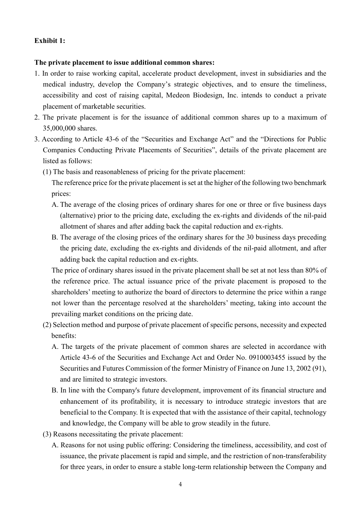## **Exhibit 1:**

### **The private placement to issue additional common shares:**

- 1. In order to raise working capital, accelerate product development, invest in subsidiaries and the medical industry, develop the Company's strategic objectives, and to ensure the timeliness, accessibility and cost of raising capital, Medeon Biodesign, Inc. intends to conduct a private placement of marketable securities.
- 2. The private placement is for the issuance of additional common shares up to a maximum of 35,000,000 shares.
- 3. According to Article 43-6 of the "Securities and Exchange Act" and the "Directions for Public Companies Conducting Private Placements of Securities", details of the private placement are listed as follows:
	- (1) The basis and reasonableness of pricing for the private placement:

The reference price for the private placement is set at the higher of the following two benchmark prices:

- A. The average of the closing prices of ordinary shares for one or three or five business days (alternative) prior to the pricing date, excluding the ex-rights and dividends of the nil-paid allotment of shares and after adding back the capital reduction and ex-rights.
- B. The average of the closing prices of the ordinary shares for the 30 business days preceding the pricing date, excluding the ex-rights and dividends of the nil-paid allotment, and after adding back the capital reduction and ex-rights.

The price of ordinary shares issued in the private placement shall be set at not less than 80% of the reference price. The actual issuance price of the private placement is proposed to the shareholders' meeting to authorize the board of directors to determine the price within a range not lower than the percentage resolved at the shareholders' meeting, taking into account the prevailing market conditions on the pricing date.

- (2) Selection method and purpose of private placement of specific persons, necessity and expected benefits:
	- A. The targets of the private placement of common shares are selected in accordance with Article 43-6 of the Securities and Exchange Act and Order No. 0910003455 issued by the Securities and Futures Commission of the former Ministry of Finance on June 13, 2002 (91), and are limited to strategic investors.
	- B. In line with the Company's future development, improvement of its financial structure and enhancement of its profitability, it is necessary to introduce strategic investors that are beneficial to the Company. It is expected that with the assistance of their capital, technology and knowledge, the Company will be able to grow steadily in the future.
- (3) Reasons necessitating the private placement:
	- A. Reasons for not using public offering: Considering the timeliness, accessibility, and cost of issuance, the private placement is rapid and simple, and the restriction of non-transferability for three years, in order to ensure a stable long-term relationship between the Company and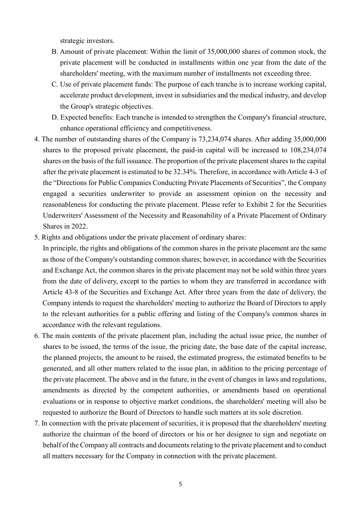strategic investors.

- B. Amount of private placement: Within the limit of 35,000,000 shares of common stock, the private placement will be conducted in installments within one year from the date of the shareholders' meeting, with the maximum number of installments not exceeding three.
- C. Use of private placement funds: The purpose of each tranche is to increase working capital, accelerate product development, invest in subsidiaries and the medical industry, and develop the Group's strategic objectives.
- D. Expected benefits: Each tranche is intended to strengthen the Company's financial structure, enhance operational efficiency and competitiveness.
- 4. The number of outstanding shares of the Company is 73,234,074 shares. After adding 35,000,000 shares to the proposed private placement, the paid-in capital will be increased to 108,234,074 shares on the basis of the full issuance. The proportion of the private placement shares to the capital after the private placement is estimated to be 32.34%. Therefore, in accordance with Article 4-3 of the "Directions for Public Companies Conducting Private Placements of Securities", the Company engaged a securities underwriter to provide an assessment opinion on the necessity and reasonableness for conducting the private placement. Please refer to Exhibit 2 for the Securities Underwriters' Assessment of the Necessity and Reasonability of a Private Placement of Ordinary Shares in 2022.
- 5. Rights and obligations under the private placement of ordinary shares:
- In principle, the rights and obligations of the common shares in the private placement are the same as those of the Company's outstanding common shares; however, in accordance with the Securities and Exchange Act, the common shares in the private placement may not be sold within three years from the date of delivery, except to the parties to whom they are transferred in accordance with Article 43-8 of the Securities and Exchange Act. After three years from the date of delivery, the Company intends to request the shareholders' meeting to authorize the Board of Directors to apply to the relevant authorities for a public offering and listing of the Company's common shares in accordance with the relevant regulations.
- 6. The main contents of the private placement plan, including the actual issue price, the number of shares to be issued, the terms of the issue, the pricing date, the base date of the capital increase, the planned projects, the amount to be raised, the estimated progress, the estimated benefits to be generated, and all other matters related to the issue plan, in addition to the pricing percentage of the private placement. The above and in the future, in the event of changes in laws and regulations, amendments as directed by the competent authorities, or amendments based on operational evaluations or in response to objective market conditions, the shareholders' meeting will also be requested to authorize the Board of Directors to handle such matters at its sole discretion.
- 7. In connection with the private placement of securities, it is proposed that the shareholders' meeting authorize the chairman of the board of directors or his or her designee to sign and negotiate on behalf of the Company all contracts and documents relating to the private placement and to conduct all matters necessary for the Company in connection with the private placement.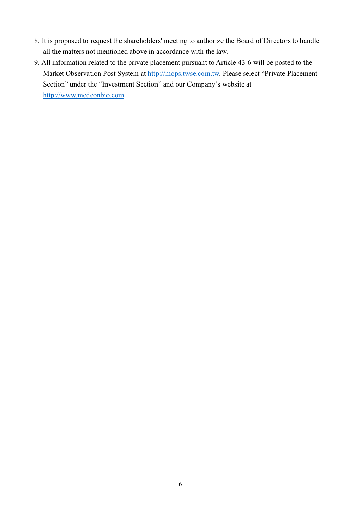- 8. It is proposed to request the shareholders' meeting to authorize the Board of Directors to handle all the matters not mentioned above in accordance with the law.
- 9. All information related to the private placement pursuant to Article 43-6 will be posted to the Market Observation Post System at [http://mops.twse.com.tw.](http://mops.twse.com.tw/) Please select "Private Placement" Section" under the "Investment Section" and our Company's website at [http://www.medeonbio.com](http://www.medeonbio.com/)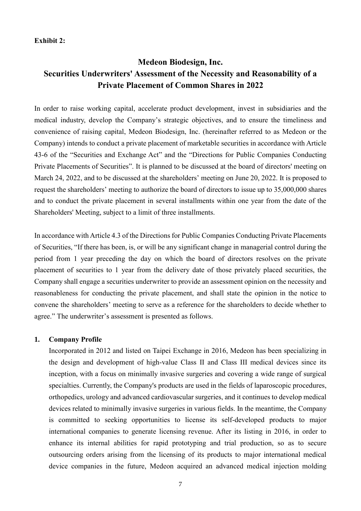### **Exhibit 2:**

## **Medeon Biodesign, Inc. Securities Underwriters' Assessment of the Necessity and Reasonability of a Private Placement of Common Shares in 2022**

In order to raise working capital, accelerate product development, invest in subsidiaries and the medical industry, develop the Company's strategic objectives, and to ensure the timeliness and convenience of raising capital, Medeon Biodesign, Inc. (hereinafter referred to as Medeon or the Company) intends to conduct a private placement of marketable securities in accordance with Article 43-6 of the "Securities and Exchange Act" and the "Directions for Public Companies Conducting Private Placements of Securities". It is planned to be discussed at the board of directors' meeting on March 24, 2022, and to be discussed at the shareholders' meeting on June 20, 2022. It is proposed to request the shareholders' meeting to authorize the board of directors to issue up to 35,000,000 shares and to conduct the private placement in several installments within one year from the date of the Shareholders' Meeting, subject to a limit of three installments.

In accordance with Article 4.3 of the Directions for Public Companies Conducting Private Placements of Securities, "If there has been, is, or will be any significant change in managerial control during the period from 1 year preceding the day on which the board of directors resolves on the private placement of securities to 1 year from the delivery date of those privately placed securities, the Company shall engage a securities underwriter to provide an assessment opinion on the necessity and reasonableness for conducting the private placement, and shall state the opinion in the notice to convene the shareholders' meeting to serve as a reference for the shareholders to decide whether to agree." The underwriter's assessment is presented as follows.

#### **1. Company Profile**

Incorporated in 2012 and listed on Taipei Exchange in 2016, Medeon has been specializing in the design and development of high-value Class II and Class III medical devices since its inception, with a focus on minimally invasive surgeries and covering a wide range of surgical specialties. Currently, the Company's products are used in the fields of laparoscopic procedures, orthopedics, urology and advanced cardiovascular surgeries, and it continues to develop medical devices related to minimally invasive surgeries in various fields. In the meantime, the Company is committed to seeking opportunities to license its self-developed products to major international companies to generate licensing revenue. After its listing in 2016, in order to enhance its internal abilities for rapid prototyping and trial production, so as to secure outsourcing orders arising from the licensing of its products to major international medical device companies in the future, Medeon acquired an advanced medical injection molding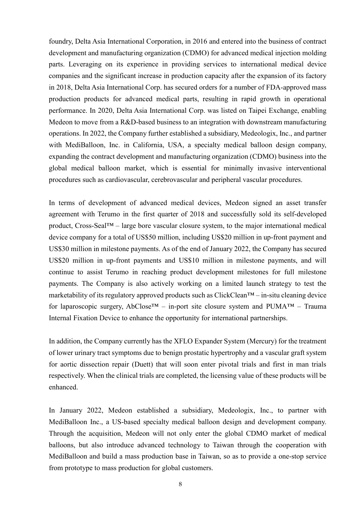foundry, Delta Asia International Corporation, in 2016 and entered into the business of contract development and manufacturing organization (CDMO) for advanced medical injection molding parts. Leveraging on its experience in providing services to international medical device companies and the significant increase in production capacity after the expansion of its factory in 2018, Delta Asia International Corp. has secured orders for a number of FDA-approved mass production products for advanced medical parts, resulting in rapid growth in operational performance. In 2020, Delta Asia International Corp. was listed on Taipei Exchange, enabling Medeon to move from a R&D-based business to an integration with downstream manufacturing operations. In 2022, the Company further established a subsidiary, Medeologix, Inc., and partner with MediBalloon, Inc. in California, USA, a specialty medical balloon design company, expanding the contract development and manufacturing organization (CDMO) business into the global medical balloon market, which is essential for minimally invasive interventional procedures such as cardiovascular, cerebrovascular and peripheral vascular procedures.

In terms of development of advanced medical devices, Medeon signed an asset transfer agreement with Terumo in the first quarter of 2018 and successfully sold its self-developed product, Cross-Seal™ – large bore vascular closure system, to the major international medical device company for a total of US\$50 million, including US\$20 million in up-front payment and US\$30 million in milestone payments. As of the end of January 2022, the Company has secured US\$20 million in up-front payments and US\$10 million in milestone payments, and will continue to assist Terumo in reaching product development milestones for full milestone payments. The Company is also actively working on a limited launch strategy to test the marketability of its regulatory approved products such as ClickClean™ – in-situ cleaning device for laparoscopic surgery, AbClose<sup>TM</sup> – in-port site closure system and PUMA<sup>TM</sup> – Trauma Internal Fixation Device to enhance the opportunity for international partnerships.

In addition, the Company currently has the XFLO Expander System (Mercury) for the treatment of lower urinary tract symptoms due to benign prostatic hypertrophy and a vascular graft system for aortic dissection repair (Duett) that will soon enter pivotal trials and first in man trials respectively. When the clinical trials are completed, the licensing value of these products will be enhanced.

In January 2022, Medeon established a subsidiary, Medeologix, Inc., to partner with MediBalloon Inc., a US-based specialty medical balloon design and development company. Through the acquisition, Medeon will not only enter the global CDMO market of medical balloons, but also introduce advanced technology to Taiwan through the cooperation with MediBalloon and build a mass production base in Taiwan, so as to provide a one-stop service from prototype to mass production for global customers.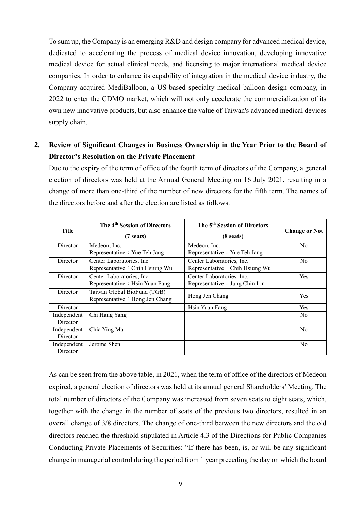To sum up, the Company is an emerging R&D and design company for advanced medical device, dedicated to accelerating the process of medical device innovation, developing innovative medical device for actual clinical needs, and licensing to major international medical device companies. In order to enhance its capability of integration in the medical device industry, the Company acquired MediBalloon, a US-based specialty medical balloon design company, in 2022 to enter the CDMO market, which will not only accelerate the commercialization of its own new innovative products, but also enhance the value of Taiwan's advanced medical devices supply chain.

## **2. Review of Significant Changes in Business Ownership in the Year Prior to the Board of Director's Resolution on the Private Placement**

Due to the expiry of the term of office of the fourth term of directors of the Company, a general election of directors was held at the Annual General Meeting on 16 July 2021, resulting in a change of more than one-third of the number of new directors for the fifth term. The names of the directors before and after the election are listed as follows.

| Title                   | The 4 <sup>th</sup> Session of Directors<br>$(7 \text{ seats})$ | The 5 <sup>th</sup> Session of Directors<br>$(8 \text{ seats})$ | <b>Change or Not</b> |
|-------------------------|-----------------------------------------------------------------|-----------------------------------------------------------------|----------------------|
| Director                | Medeon, Inc.<br>Representative: Yue Teh Jang                    | Medeon, Inc.<br>Representative: Yue Teh Jang                    | N <sub>o</sub>       |
| Director                | Center Laboratories, Inc.<br>Representative: Chih Hsiung Wu     | Center Laboratories, Inc.<br>Representative: Chih Hsiung Wu     | No.                  |
| Director                | Center Laboratories, Inc.<br>Representative: Hsin Yuan Fang     | Center Laboratories, Inc.<br>Representative : Jung Chin Lin     | <b>Yes</b>           |
| Director                | Taiwan Global BioFund (TGB)<br>Representative: Hong Jen Chang   | Hong Jen Chang                                                  | Yes                  |
| Director                |                                                                 | Hsin Yuan Fang                                                  | <b>Yes</b>           |
| Independent<br>Director | Chi Hang Yang                                                   |                                                                 | N <sub>0</sub>       |
| Independent<br>Director | Chia Ying Ma                                                    |                                                                 | N <sub>o</sub>       |
| Independent<br>Director | Jerome Shen                                                     |                                                                 | N <sub>o</sub>       |

As can be seen from the above table, in 2021, when the term of office of the directors of Medeon expired, a general election of directors was held at its annual general Shareholders' Meeting. The total number of directors of the Company was increased from seven seats to eight seats, which, together with the change in the number of seats of the previous two directors, resulted in an overall change of 3/8 directors. The change of one-third between the new directors and the old directors reached the threshold stipulated in Article 4.3 of the Directions for Public Companies Conducting Private Placements of Securities: "If there has been, is, or will be any significant change in managerial control during the period from 1 year preceding the day on which the board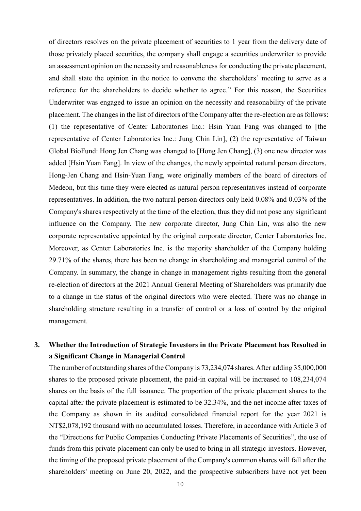of directors resolves on the private placement of securities to 1 year from the delivery date of those privately placed securities, the company shall engage a securities underwriter to provide an assessment opinion on the necessity and reasonableness for conducting the private placement, and shall state the opinion in the notice to convene the shareholders' meeting to serve as a reference for the shareholders to decide whether to agree." For this reason, the Securities Underwriter was engaged to issue an opinion on the necessity and reasonability of the private placement. The changes in the list of directors of the Company after the re-election are as follows: (1) the representative of Center Laboratories Inc.: Hsin Yuan Fang was changed to [the representative of Center Laboratories Inc.: Jung Chin Lin], (2) the representative of Taiwan Global BioFund: Hong Jen Chang was changed to [Hong Jen Chang], (3) one new director was added [Hsin Yuan Fang]. In view of the changes, the newly appointed natural person directors, Hong-Jen Chang and Hsin-Yuan Fang, were originally members of the board of directors of Medeon, but this time they were elected as natural person representatives instead of corporate representatives. In addition, the two natural person directors only held 0.08% and 0.03% of the Company's shares respectively at the time of the election, thus they did not pose any significant influence on the Company. The new corporate director, Jung Chin Lin, was also the new corporate representative appointed by the original corporate director, Center Laboratories Inc. Moreover, as Center Laboratories Inc. is the majority shareholder of the Company holding 29.71% of the shares, there has been no change in shareholding and managerial control of the Company. In summary, the change in change in management rights resulting from the general re-election of directors at the 2021 Annual General Meeting of Shareholders was primarily due to a change in the status of the original directors who were elected. There was no change in shareholding structure resulting in a transfer of control or a loss of control by the original management.

## **3. Whether the Introduction of Strategic Investors in the Private Placement has Resulted in a Significant Change in Managerial Control**

The number of outstanding shares of the Company is 73,234,074 shares. After adding 35,000,000 shares to the proposed private placement, the paid-in capital will be increased to 108,234,074 shares on the basis of the full issuance. The proportion of the private placement shares to the capital after the private placement is estimated to be 32.34%, and the net income after taxes of the Company as shown in its audited consolidated financial report for the year 2021 is NT\$2,078,192 thousand with no accumulated losses. Therefore, in accordance with Article 3 of the "Directions for Public Companies Conducting Private Placements of Securities", the use of funds from this private placement can only be used to bring in all strategic investors. However, the timing of the proposed private placement of the Company's common shares will fall after the shareholders' meeting on June 20, 2022, and the prospective subscribers have not yet been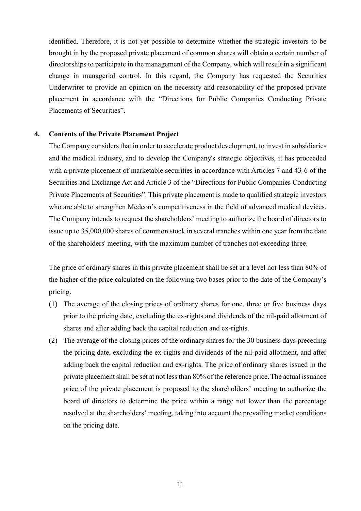identified. Therefore, it is not yet possible to determine whether the strategic investors to be brought in by the proposed private placement of common shares will obtain a certain number of directorships to participate in the management of the Company, which will result in a significant change in managerial control. In this regard, the Company has requested the Securities Underwriter to provide an opinion on the necessity and reasonability of the proposed private placement in accordance with the "Directions for Public Companies Conducting Private Placements of Securities".

### **4. Contents of the Private Placement Project**

The Company considers that in order to accelerate product development, to invest in subsidiaries and the medical industry, and to develop the Company's strategic objectives, it has proceeded with a private placement of marketable securities in accordance with Articles 7 and 43-6 of the Securities and Exchange Act and Article 3 of the "Directions for Public Companies Conducting Private Placements of Securities". This private placement is made to qualified strategic investors who are able to strengthen Medeon's competitiveness in the field of advanced medical devices. The Company intends to request the shareholders' meeting to authorize the board of directors to issue up to 35,000,000 shares of common stock in several tranches within one year from the date of the shareholders' meeting, with the maximum number of tranches not exceeding three.

The price of ordinary shares in this private placement shall be set at a level not less than 80% of the higher of the price calculated on the following two bases prior to the date of the Company's pricing.

- (1) The average of the closing prices of ordinary shares for one, three or five business days prior to the pricing date, excluding the ex-rights and dividends of the nil-paid allotment of shares and after adding back the capital reduction and ex-rights.
- (2) The average of the closing prices of the ordinary shares for the 30 business days preceding the pricing date, excluding the ex-rights and dividends of the nil-paid allotment, and after adding back the capital reduction and ex-rights. The price of ordinary shares issued in the private placement shall be set at not less than 80% of the reference price.The actual issuance price of the private placement is proposed to the shareholders' meeting to authorize the board of directors to determine the price within a range not lower than the percentage resolved at the shareholders' meeting, taking into account the prevailing market conditions on the pricing date.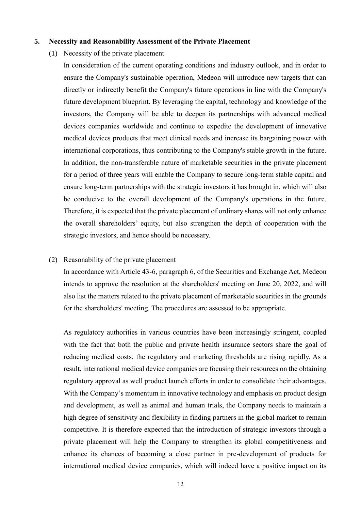#### **5. Necessity and Reasonability Assessment of the Private Placement**

(1) Necessity of the private placement

In consideration of the current operating conditions and industry outlook, and in order to ensure the Company's sustainable operation, Medeon will introduce new targets that can directly or indirectly benefit the Company's future operations in line with the Company's future development blueprint. By leveraging the capital, technology and knowledge of the investors, the Company will be able to deepen its partnerships with advanced medical devices companies worldwide and continue to expedite the development of innovative medical devices products that meet clinical needs and increase its bargaining power with international corporations, thus contributing to the Company's stable growth in the future. In addition, the non-transferable nature of marketable securities in the private placement for a period of three years will enable the Company to secure long-term stable capital and ensure long-term partnerships with the strategic investors it has brought in, which will also be conducive to the overall development of the Company's operations in the future. Therefore, it is expected that the private placement of ordinary shares will not only enhance the overall shareholders' equity, but also strengthen the depth of cooperation with the strategic investors, and hence should be necessary.

### (2) Reasonability of the private placement

In accordance with Article 43-6, paragraph 6, of the Securities and Exchange Act, Medeon intends to approve the resolution at the shareholders' meeting on June 20, 2022, and will also list the matters related to the private placement of marketable securities in the grounds for the shareholders' meeting. The procedures are assessed to be appropriate.

As regulatory authorities in various countries have been increasingly stringent, coupled with the fact that both the public and private health insurance sectors share the goal of reducing medical costs, the regulatory and marketing thresholds are rising rapidly. As a result, international medical device companies are focusing their resources on the obtaining regulatory approval as well product launch efforts in order to consolidate their advantages. With the Company's momentum in innovative technology and emphasis on product design and development, as well as animal and human trials, the Company needs to maintain a high degree of sensitivity and flexibility in finding partners in the global market to remain competitive. It is therefore expected that the introduction of strategic investors through a private placement will help the Company to strengthen its global competitiveness and enhance its chances of becoming a close partner in pre-development of products for international medical device companies, which will indeed have a positive impact on its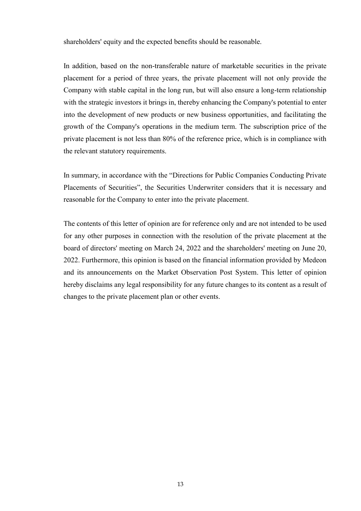shareholders' equity and the expected benefits should be reasonable.

In addition, based on the non-transferable nature of marketable securities in the private placement for a period of three years, the private placement will not only provide the Company with stable capital in the long run, but will also ensure a long-term relationship with the strategic investors it brings in, thereby enhancing the Company's potential to enter into the development of new products or new business opportunities, and facilitating the growth of the Company's operations in the medium term. The subscription price of the private placement is not less than 80% of the reference price, which is in compliance with the relevant statutory requirements.

In summary, in accordance with the "Directions for Public Companies Conducting Private Placements of Securities", the Securities Underwriter considers that it is necessary and reasonable for the Company to enter into the private placement.

The contents of this letter of opinion are for reference only and are not intended to be used for any other purposes in connection with the resolution of the private placement at the board of directors' meeting on March 24, 2022 and the shareholders' meeting on June 20, 2022. Furthermore, this opinion is based on the financial information provided by Medeon and its announcements on the Market Observation Post System. This letter of opinion hereby disclaims any legal responsibility for any future changes to its content as a result of changes to the private placement plan or other events.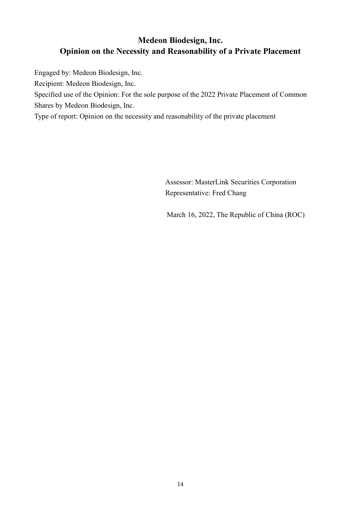## **Medeon Biodesign, Inc. Opinion on the Necessity and Reasonability of a Private Placement**

Engaged by: Medeon Biodesign, Inc.

Recipient: Medeon Biodesign, Inc.

Specified use of the Opinion: For the sole purpose of the 2022 Private Placement of Common Shares by Medeon Biodesign, Inc.

Type of report: Opinion on the necessity and reasonability of the private placement

Assessor: MasterLink Securities Corporation Representative: Fred Chang

March 16, 2022, The Republic of China (ROC)